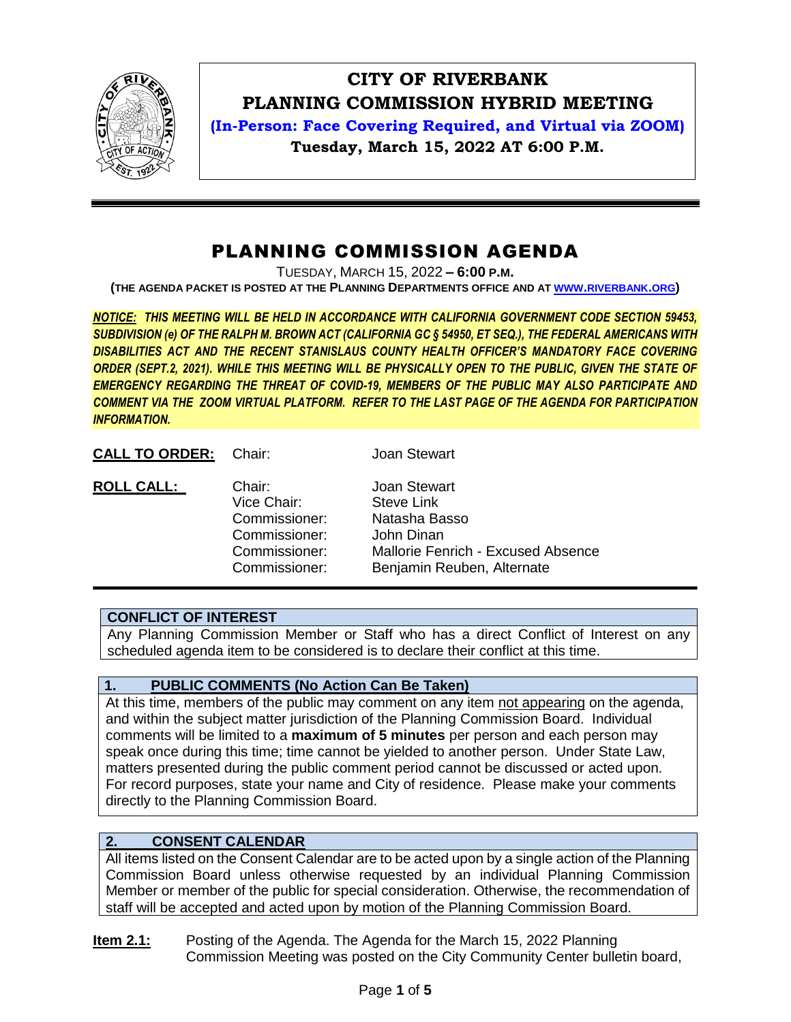

# **CITY OF RIVERBANK PLANNING COMMISSION HYBRID MEETING**

**(In-Person: Face Covering Required, and Virtual via ZOOM) Tuesday, March 15, 2022 AT 6:00 P.M.**

## PLANNING COMMISSION AGENDA

TUESDAY, MARCH 15, 2022 **– 6:00 P.M.**

**(THE AGENDA PACKET IS POSTED AT THE PLANNING DEPARTMENTS OFFICE AND AT WWW.[RIVERBANK](http://www.riverbank.org/).ORG)**

*NOTICE: THIS MEETING WILL BE HELD IN ACCORDANCE WITH CALIFORNIA GOVERNMENT CODE SECTION 59453, SUBDIVISION (e) OF THE RALPH M. BROWN ACT (CALIFORNIA GC § 54950, ET SEQ.), THE FEDERAL AMERICANS WITH DISABILITIES ACT AND THE RECENT STANISLAUS COUNTY HEALTH OFFICER'S MANDATORY FACE COVERING ORDER (SEPT.2, 2021). WHILE THIS MEETING WILL BE PHYSICALLY OPEN TO THE PUBLIC, GIVEN THE STATE OF EMERGENCY REGARDING THE THREAT OF COVID-19, MEMBERS OF THE PUBLIC MAY ALSO PARTICIPATE AND COMMENT VIA THE ZOOM VIRTUAL PLATFORM. REFER TO THE LAST PAGE OF THE AGENDA FOR PARTICIPATION INFORMATION.*

CALL TO ORDER: Chair: Joan Stewart

| <b>ROLL CALL:</b><br>Chair:<br><b>Joan Stewart</b><br>Vice Chair:<br>Commissioner:<br>Commissioner:<br>Commissioner:<br>Commissioner: | <b>Steve Link</b><br>Natasha Basso<br>John Dinan<br>Mallorie Fenrich - Excused Absence<br>Benjamin Reuben, Alternate |
|---------------------------------------------------------------------------------------------------------------------------------------|----------------------------------------------------------------------------------------------------------------------|
|---------------------------------------------------------------------------------------------------------------------------------------|----------------------------------------------------------------------------------------------------------------------|

## **CONFLICT OF INTEREST**

Any Planning Commission Member or Staff who has a direct Conflict of Interest on any scheduled agenda item to be considered is to declare their conflict at this time.

## **1. PUBLIC COMMENTS (No Action Can Be Taken)**

At this time, members of the public may comment on any item not appearing on the agenda, and within the subject matter jurisdiction of the Planning Commission Board. Individual comments will be limited to a **maximum of 5 minutes** per person and each person may speak once during this time; time cannot be yielded to another person. Under State Law, matters presented during the public comment period cannot be discussed or acted upon. For record purposes, state your name and City of residence. Please make your comments directly to the Planning Commission Board.

## **2. CONSENT CALENDAR**

All items listed on the Consent Calendar are to be acted upon by a single action of the Planning Commission Board unless otherwise requested by an individual Planning Commission Member or member of the public for special consideration. Otherwise, the recommendation of staff will be accepted and acted upon by motion of the Planning Commission Board.

**Item 2.1:** Posting of the Agenda. The Agenda for the March 15, 2022 Planning Commission Meeting was posted on the City Community Center bulletin board,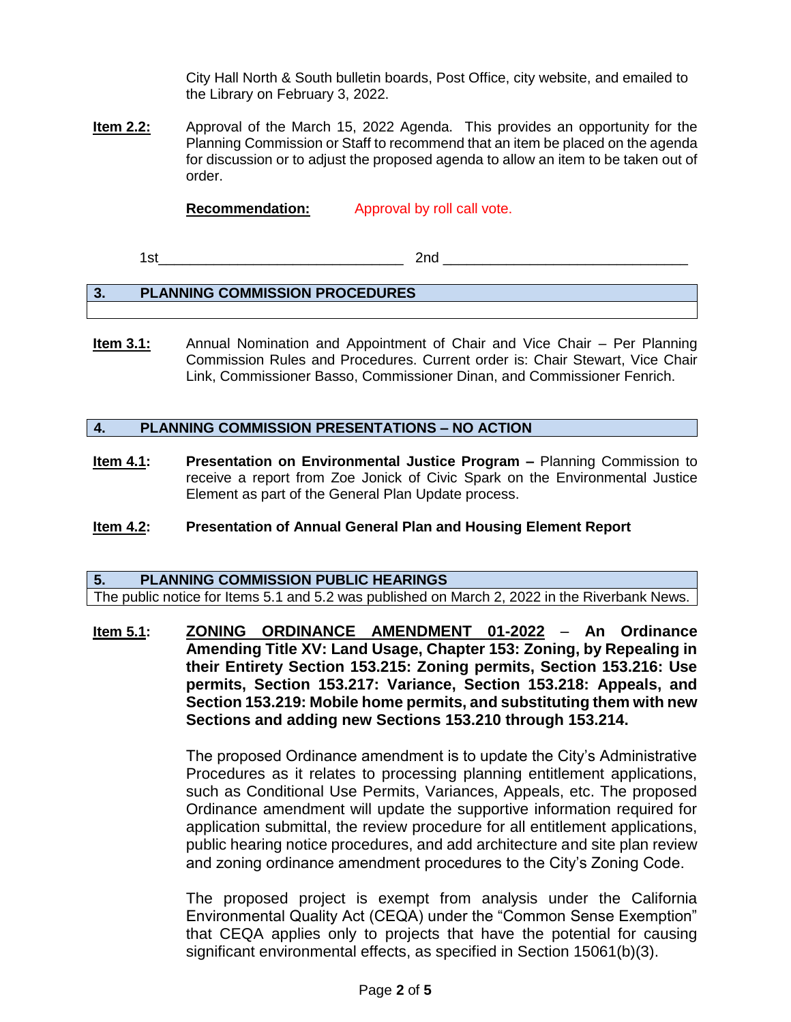City Hall North & South bulletin boards, Post Office, city website, and emailed to the Library on February 3, 2022.

**Item 2.2:** Approval of the March 15, 2022 Agenda. This provides an opportunity for the Planning Commission or Staff to recommend that an item be placed on the agenda for discussion or to adjust the proposed agenda to allow an item to be taken out of order.

**Recommendation:** Approval by roll call vote.

 $1$ st $2$ nd  $\overline{\phantom{a}}$ 

## **3. PLANNING COMMISSION PROCEDURES**

**Item 3.1:** Annual Nomination and Appointment of Chair and Vice Chair – Per Planning Commission Rules and Procedures. Current order is: Chair Stewart, Vice Chair Link, Commissioner Basso, Commissioner Dinan, and Commissioner Fenrich.

#### **4. PLANNING COMMISSION PRESENTATIONS – NO ACTION**

**Item 4.1: Presentation on Environmental Justice Program –** Planning Commission to receive a report from Zoe Jonick of Civic Spark on the Environmental Justice Element as part of the General Plan Update process.

#### **Item 4.2: Presentation of Annual General Plan and Housing Element Report**

**5. PLANNING COMMISSION PUBLIC HEARINGS** The public notice for Items 5.1 and 5.2 was published on March 2, 2022 in the Riverbank News.

**Item 5.1: ZONING ORDINANCE AMENDMENT 01-2022** – **An Ordinance Amending Title XV: Land Usage, Chapter 153: Zoning, by Repealing in their Entirety Section 153.215: Zoning permits, Section 153.216: Use permits, Section 153.217: Variance, Section 153.218: Appeals, and Section 153.219: Mobile home permits, and substituting them with new Sections and adding new Sections 153.210 through 153.214.** 

> The proposed Ordinance amendment is to update the City's Administrative Procedures as it relates to processing planning entitlement applications, such as Conditional Use Permits, Variances, Appeals, etc. The proposed Ordinance amendment will update the supportive information required for application submittal, the review procedure for all entitlement applications, public hearing notice procedures, and add architecture and site plan review and zoning ordinance amendment procedures to the City's Zoning Code.

> The proposed project is exempt from analysis under the California Environmental Quality Act (CEQA) under the "Common Sense Exemption" that CEQA applies only to projects that have the potential for causing significant environmental effects, as specified in Section 15061(b)(3).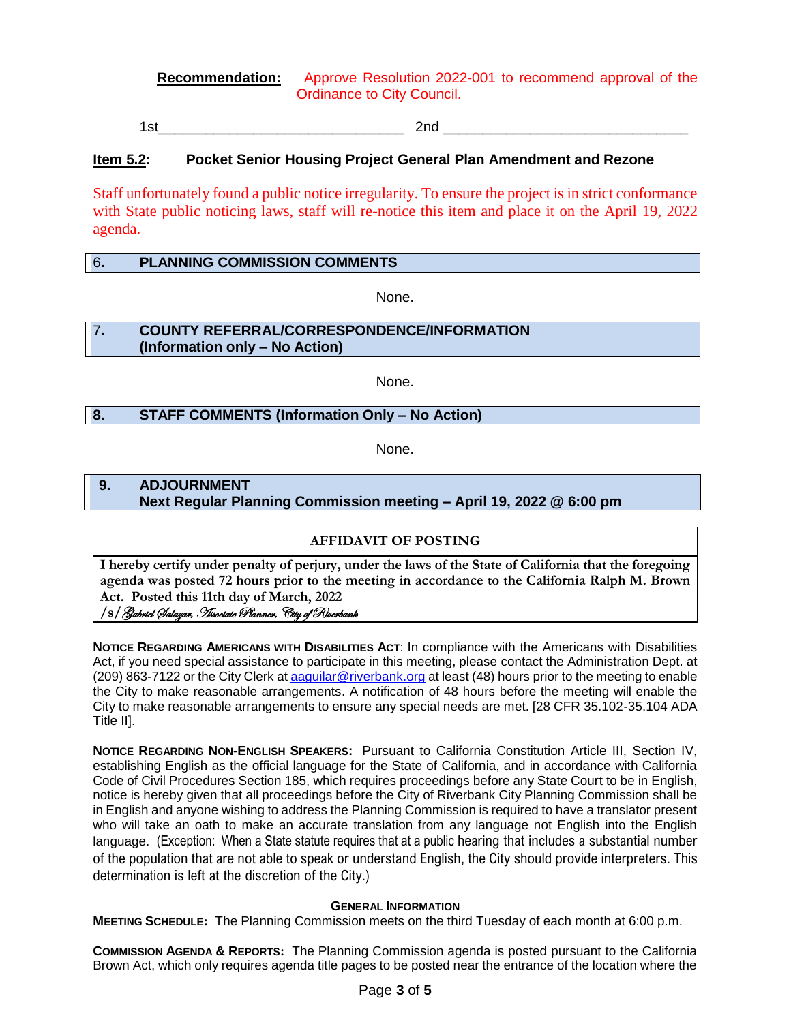**Recommendation:** Approve Resolution 2022-001 to recommend approval of the Ordinance to City Council.

1st\_\_\_\_\_\_\_\_\_\_\_\_\_\_\_\_\_\_\_\_\_\_\_\_\_\_\_\_\_\_\_ 2nd \_\_\_\_\_\_\_\_\_\_\_\_\_\_\_\_\_\_\_\_\_\_\_\_\_\_\_\_\_\_\_

#### **Item 5.2: Pocket Senior Housing Project General Plan Amendment and Rezone**

Staff unfortunately found a public notice irregularity. To ensure the project is in strict conformance with State public noticing laws, staff will re-notice this item and place it on the April 19, 2022 agenda.

#### 6**. PLANNING COMMISSION COMMENTS**

None.

#### 7**. COUNTY REFERRAL/CORRESPONDENCE/INFORMATION (Information only – No Action)**

None.

#### **8. STAFF COMMENTS (Information Only – No Action)**

None.

#### **9. ADJOURNMENT Next Regular Planning Commission meeting – April 19, 2022 @ 6:00 pm**

#### **AFFIDAVIT OF POSTING**

**I hereby certify under penalty of perjury, under the laws of the State of California that the foregoing agenda was posted 72 hours prior to the meeting in accordance to the California Ralph M. Brown Act. Posted this 11th day of March, 2022**

#### **/s/**Gabriel Salazar, Associate Planner, City of Riverbank

**NOTICE REGARDING AMERICANS WITH DISABILITIES ACT**: In compliance with the Americans with Disabilities Act, if you need special assistance to participate in this meeting, please contact the Administration Dept. at (209) 863-7122 or the City Clerk at [aaguilar@riverbank.org](mailto:aaguilar@riverbank.org) at least (48) hours prior to the meeting to enable the City to make reasonable arrangements. A notification of 48 hours before the meeting will enable the City to make reasonable arrangements to ensure any special needs are met. [28 CFR 35.102-35.104 ADA Title II].

**NOTICE REGARDING NON-ENGLISH SPEAKERS:** Pursuant to California Constitution Article III, Section IV, establishing English as the official language for the State of California, and in accordance with California Code of Civil Procedures Section 185, which requires proceedings before any State Court to be in English, notice is hereby given that all proceedings before the City of Riverbank City Planning Commission shall be in English and anyone wishing to address the Planning Commission is required to have a translator present who will take an oath to make an accurate translation from any language not English into the English language. (Exception: When a State statute requires that at a public hearing that includes a substantial number of the population that are not able to speak or understand English, the City should provide interpreters. This determination is left at the discretion of the City.)

#### **GENERAL INFORMATION**

**MEETING SCHEDULE:** The Planning Commission meets on the third Tuesday of each month at 6:00 p.m.

**COMMISSION AGENDA & REPORTS:** The Planning Commission agenda is posted pursuant to the California Brown Act, which only requires agenda title pages to be posted near the entrance of the location where the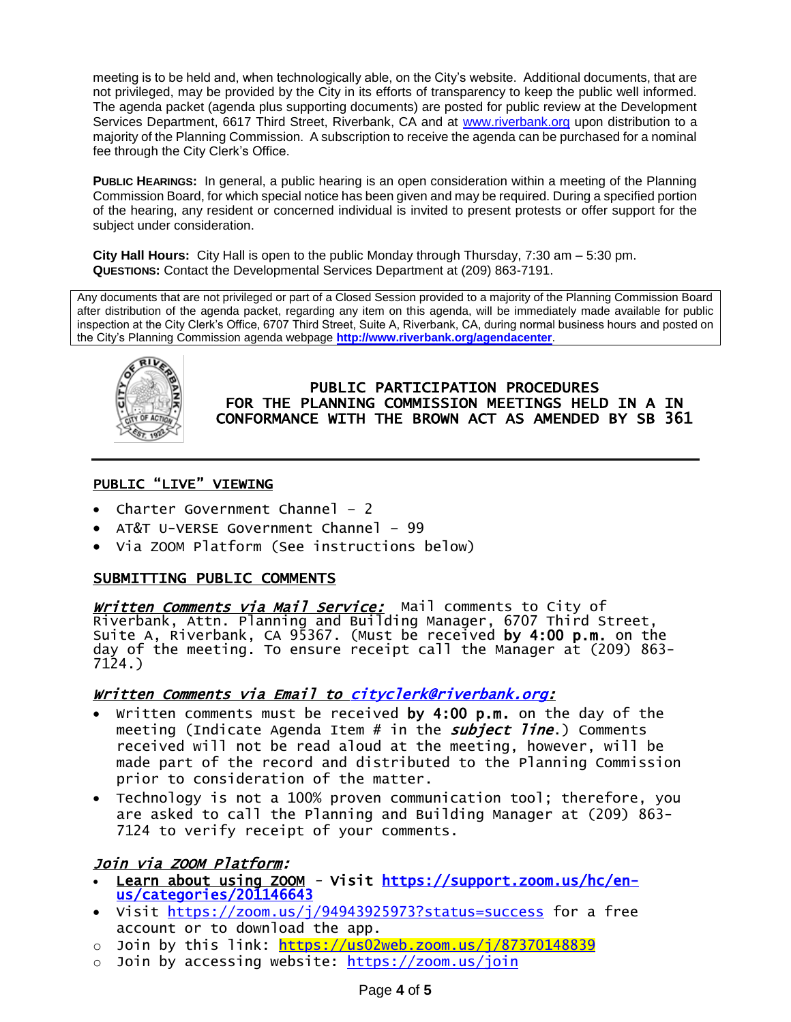meeting is to be held and, when technologically able, on the City's website. Additional documents, that are not privileged, may be provided by the City in its efforts of transparency to keep the public well informed. The agenda packet (agenda plus supporting documents) are posted for public review at the Development Services Department, 6617 Third Street, Riverbank, CA and at [www.riverbank.org](http://www.riverbank.org/) upon distribution to a majority of the Planning Commission. A subscription to receive the agenda can be purchased for a nominal fee through the City Clerk's Office.

**PUBLIC HEARINGS:** In general, a public hearing is an open consideration within a meeting of the Planning Commission Board, for which special notice has been given and may be required. During a specified portion of the hearing, any resident or concerned individual is invited to present protests or offer support for the subject under consideration.

**City Hall Hours:** City Hall is open to the public Monday through Thursday, 7:30 am – 5:30 pm. **QUESTIONS:** Contact the Developmental Services Department at (209) 863-7191.

Any documents that are not privileged or part of a Closed Session provided to a majority of the Planning Commission Board after distribution of the agenda packet, regarding any item on this agenda, will be immediately made available for public inspection at the City Clerk's Office, 6707 Third Street, Suite A, Riverbank, CA, during normal business hours and posted on the City's Planning Commission agenda webpage **<http://www.riverbank.org/agendacenter>**.



PUBLIC PARTICIPATION PROCEDURES FOR THE PLANNING COMMISSION MEETINGS HELD IN A IN CONFORMANCE WITH THE BROWN ACT AS AMENDED BY SB 361

## PUBLIC "LIVE" VIEWING

- Charter Government Channel 2
- AT&T U-VERSE Government Channel 99
- Via ZOOM Platform (See instructions below)

#### SUBMITTING PUBLIC COMMENTS

*Written Comments via Mail Service:* Mail comments to City of Riverbank, Attn. Planning and Building Manager, 6707 Third Street, Suite A, Riverbank, CA 95367. (Must be received by 4:00 p.m. on the day of the meeting. To ensure receipt call the Manager at (209) 863- 7124.)

#### Written Comments via Email to [cityclerk@riverbank.org](mailto:cityclerk@riverbank.org):

- Written comments must be received by 4:00 p.m. on the day of the meeting (Indicate Agenda Item # in the *subject line*.) Comments received will not be read aloud at the meeting, however, will be made part of the record and distributed to the Planning Commission prior to consideration of the matter.
- Technology is not a 100% proven communication tool; therefore, you are asked to call the Planning and Building Manager at (209) 863- 7124 to verify receipt of your comments.

## Join via ZOOM Platform:

- Learn about using ZOOM Visit [https://support.zoom.us/hc/en](https://support.zoom.us/hc/en-us/categories/201146643)[us/categories/201146643](https://support.zoom.us/hc/en-us/categories/201146643)
- Visit <https://zoom.us/j/94943925973?status=success> for a free account or to download the app.
- o Join by this link:<https://us02web.zoom.us/j/87370148839>
- Join by accessing website:<https://zoom.us/join>